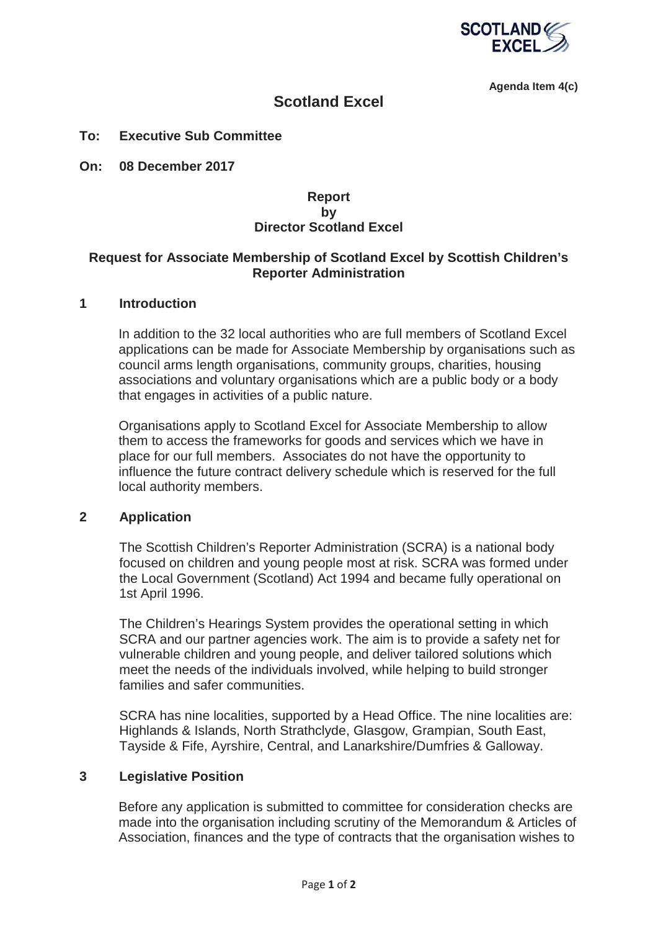

**Agenda Item 4(c)** 

# **Scotland Excel**

#### **To: Executive Sub Committee**

**On: 08 December 2017** 

## **Report by Director Scotland Excel**

#### **Request for Associate Membership of Scotland Excel by Scottish Children's Reporter Administration**

## **1 Introduction**

In addition to the 32 local authorities who are full members of Scotland Excel applications can be made for Associate Membership by organisations such as council arms length organisations, community groups, charities, housing associations and voluntary organisations which are a public body or a body that engages in activities of a public nature.

Organisations apply to Scotland Excel for Associate Membership to allow them to access the frameworks for goods and services which we have in place for our full members. Associates do not have the opportunity to influence the future contract delivery schedule which is reserved for the full local authority members.

## **2 Application**

The Scottish Children's Reporter Administration (SCRA) is a national body focused on children and young people most at risk. SCRA was formed under the Local Government (Scotland) Act 1994 and became fully operational on 1st April 1996.

The Children's Hearings System provides the operational setting in which SCRA and our partner agencies work. The aim is to provide a safety net for vulnerable children and young people, and deliver tailored solutions which meet the needs of the individuals involved, while helping to build stronger families and safer communities.

SCRA has nine localities, supported by a Head Office. The nine localities are: Highlands & Islands, North Strathclyde, Glasgow, Grampian, South East, Tayside & Fife, Ayrshire, Central, and Lanarkshire/Dumfries & Galloway.

#### **3 Legislative Position**

Before any application is submitted to committee for consideration checks are made into the organisation including scrutiny of the Memorandum & Articles of Association, finances and the type of contracts that the organisation wishes to